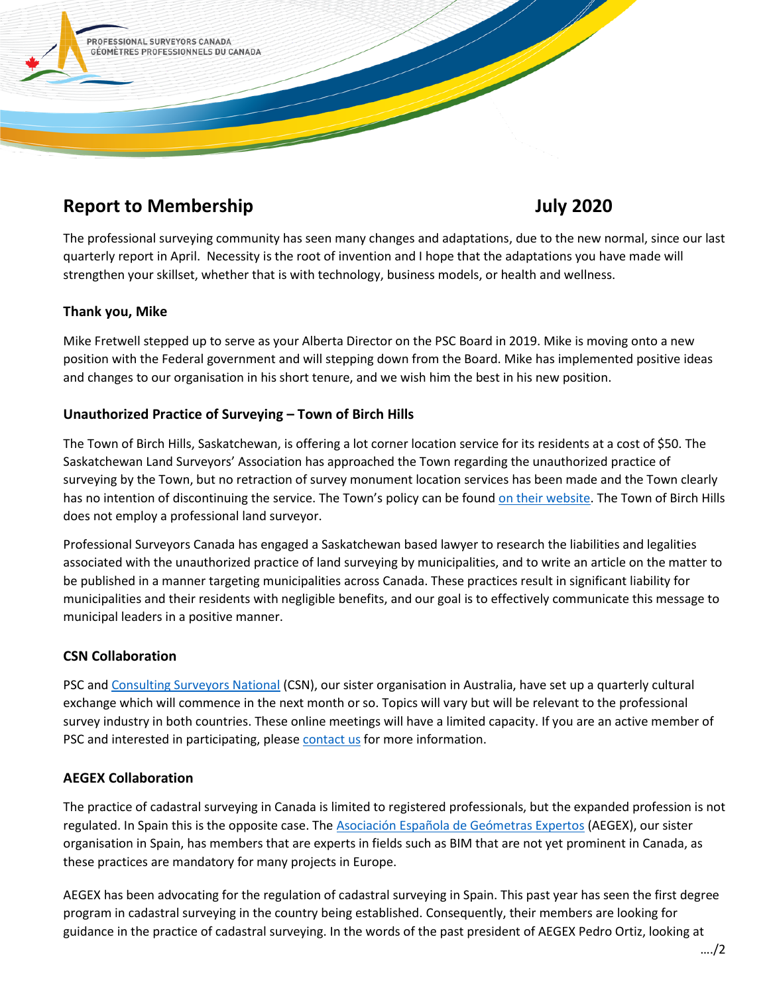

# **Report to Membership Contract Contract Contract Contract Contract Contract Contract Contract Contract Contract Contract Contract Contract Contract Contract Contract Contract Contract Contract Contract Contract Contract Co**

The professional surveying community has seen many changes and adaptations, due to the new normal, since our last quarterly report in April. Necessity is the root of invention and I hope that the adaptations you have made will strengthen your skillset, whether that is with technology, business models, or health and wellness.

### **Thank you, Mike**

Mike Fretwell stepped up to serve as your Alberta Director on the PSC Board in 2019. Mike is moving onto a new position with the Federal government and will stepping down from the Board. Mike has implemented positive ideas and changes to our organisation in his short tenure, and we wish him the best in his new position.

## **Unauthorized Practice of Surveying – Town of Birch Hills**

The Town of Birch Hills, Saskatchewan, is offering a lot corner location service for its residents at a cost of \$50. The Saskatchewan Land Surveyors' Association has approached the Town regarding the unauthorized practice of surveying by the Town, but no retraction of survey monument location services has been made and the Town clearly has no intention of discontinuing the service. The Town's policy can be found [on their website.](http://birchhills.ca/wp-content/uploads/2019/09/Property-Pin-Locate-Policy-amendment-2019.pdf) The Town of Birch Hills does not employ a professional land surveyor.

Professional Surveyors Canada has engaged a Saskatchewan based lawyer to research the liabilities and legalities associated with the unauthorized practice of land surveying by municipalities, and to write an article on the matter to be published in a manner targeting municipalities across Canada. These practices result in significant liability for municipalities and their residents with negligible benefits, and our goal is to effectively communicate this message to municipal leaders in a positive manner.

# **CSN Collaboration**

PSC and [Consulting Surveyors National](https://www.consultingsurveyors.com.au/) (CSN), our sister organisation in Australia, have set up a quarterly cultural exchange which will commence in the next month or so. Topics will vary but will be relevant to the professional survey industry in both countries. These online meetings will have a limited capacity. If you are an active member of PSC and interested in participating, please [contact us](mailto:michael@psc-gpc.ca) for more information.

### **AEGEX Collaboration**

The practice of cadastral surveying in Canada is limited to registered professionals, but the expanded profession is not regulated. In Spain this is the opposite case. The [Asociación Española de Geómetras Expertos](http://www.geometra-experto.com/) (AEGEX), our sister organisation in Spain, has members that are experts in fields such as BIM that are not yet prominent in Canada, as these practices are mandatory for many projects in Europe.

AEGEX has been advocating for the regulation of cadastral surveying in Spain. This past year has seen the first degree program in cadastral surveying in the country being established. Consequently, their members are looking for guidance in the practice of cadastral surveying. In the words of the past president of AEGEX Pedro Ortiz, looking at